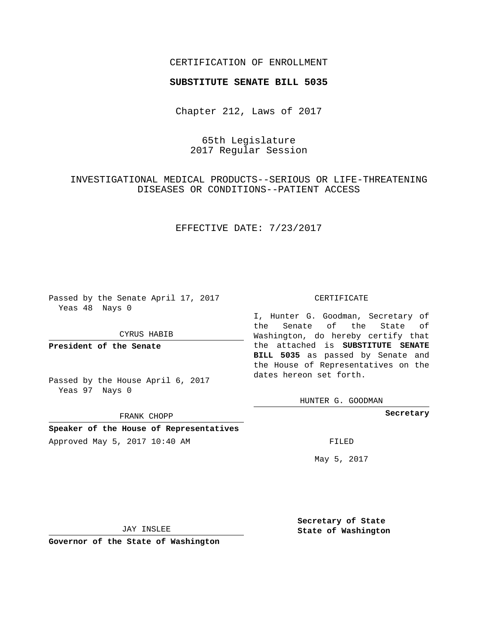## CERTIFICATION OF ENROLLMENT

### **SUBSTITUTE SENATE BILL 5035**

Chapter 212, Laws of 2017

# 65th Legislature 2017 Regular Session

INVESTIGATIONAL MEDICAL PRODUCTS--SERIOUS OR LIFE-THREATENING DISEASES OR CONDITIONS--PATIENT ACCESS

## EFFECTIVE DATE: 7/23/2017

Passed by the Senate April 17, 2017 Yeas 48 Nays 0

#### CYRUS HABIB

**President of the Senate**

Passed by the House April 6, 2017 Yeas 97 Nays 0

FRANK CHOPP

**Speaker of the House of Representatives** Approved May 5, 2017 10:40 AM FILED

#### CERTIFICATE

I, Hunter G. Goodman, Secretary of the Senate of the State of Washington, do hereby certify that the attached is **SUBSTITUTE SENATE BILL 5035** as passed by Senate and the House of Representatives on the dates hereon set forth.

HUNTER G. GOODMAN

**Secretary**

May 5, 2017

JAY INSLEE

**Governor of the State of Washington**

**Secretary of State State of Washington**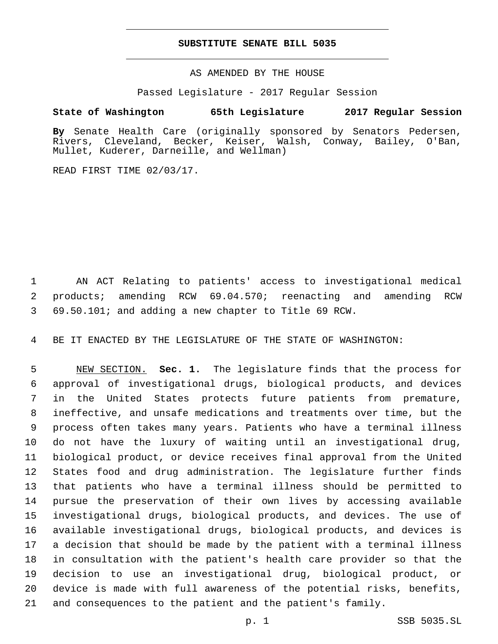### **SUBSTITUTE SENATE BILL 5035**

AS AMENDED BY THE HOUSE

Passed Legislature - 2017 Regular Session

# **State of Washington 65th Legislature 2017 Regular Session**

**By** Senate Health Care (originally sponsored by Senators Pedersen, Rivers, Cleveland, Becker, Keiser, Walsh, Conway, Bailey, O'Ban, Mullet, Kuderer, Darneille, and Wellman)

READ FIRST TIME 02/03/17.

 AN ACT Relating to patients' access to investigational medical products; amending RCW 69.04.570; reenacting and amending RCW 69.50.101; and adding a new chapter to Title 69 RCW.

BE IT ENACTED BY THE LEGISLATURE OF THE STATE OF WASHINGTON:

 NEW SECTION. **Sec. 1.** The legislature finds that the process for approval of investigational drugs, biological products, and devices in the United States protects future patients from premature, ineffective, and unsafe medications and treatments over time, but the process often takes many years. Patients who have a terminal illness do not have the luxury of waiting until an investigational drug, biological product, or device receives final approval from the United States food and drug administration. The legislature further finds that patients who have a terminal illness should be permitted to pursue the preservation of their own lives by accessing available investigational drugs, biological products, and devices. The use of available investigational drugs, biological products, and devices is a decision that should be made by the patient with a terminal illness in consultation with the patient's health care provider so that the decision to use an investigational drug, biological product, or device is made with full awareness of the potential risks, benefits, and consequences to the patient and the patient's family.

p. 1 SSB 5035.SL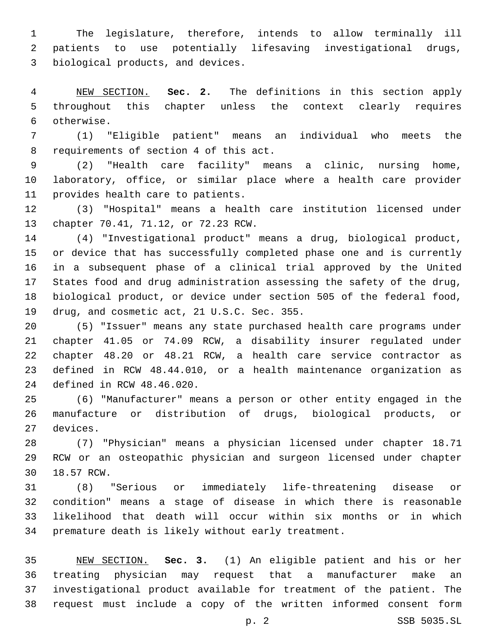The legislature, therefore, intends to allow terminally ill patients to use potentially lifesaving investigational drugs, 3 biological products, and devices.

 NEW SECTION. **Sec. 2.** The definitions in this section apply throughout this chapter unless the context clearly requires otherwise.

 (1) "Eligible patient" means an individual who meets the 8 requirements of section 4 of this act.

 (2) "Health care facility" means a clinic, nursing home, laboratory, office, or similar place where a health care provider 11 provides health care to patients.

 (3) "Hospital" means a health care institution licensed under 13 chapter 70.41, 71.12, or 72.23 RCW.

 (4) "Investigational product" means a drug, biological product, or device that has successfully completed phase one and is currently in a subsequent phase of a clinical trial approved by the United States food and drug administration assessing the safety of the drug, biological product, or device under section 505 of the federal food, 19 drug, and cosmetic act, 21 U.S.C. Sec. 355.

 (5) "Issuer" means any state purchased health care programs under chapter 41.05 or 74.09 RCW, a disability insurer regulated under chapter 48.20 or 48.21 RCW, a health care service contractor as defined in RCW 48.44.010, or a health maintenance organization as 24 defined in RCW 48.46.020.

 (6) "Manufacturer" means a person or other entity engaged in the manufacture or distribution of drugs, biological products, or 27 devices.

 (7) "Physician" means a physician licensed under chapter 18.71 RCW or an osteopathic physician and surgeon licensed under chapter 30 18.57 RCW.

 (8) "Serious or immediately life-threatening disease or condition" means a stage of disease in which there is reasonable likelihood that death will occur within six months or in which premature death is likely without early treatment.

 NEW SECTION. **Sec. 3.** (1) An eligible patient and his or her treating physician may request that a manufacturer make an investigational product available for treatment of the patient. The request must include a copy of the written informed consent form

p. 2 SSB 5035.SL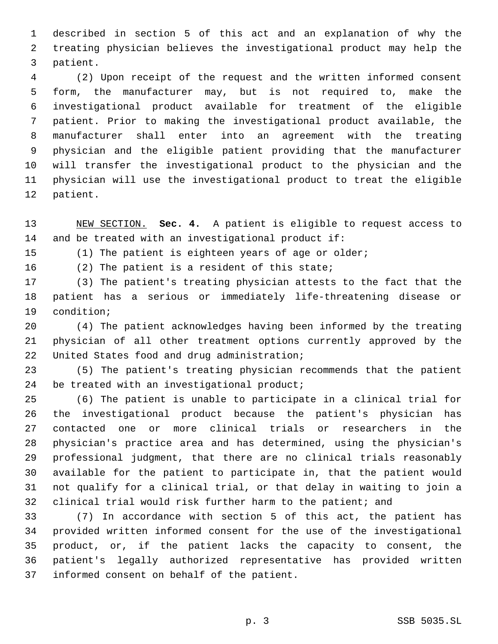described in section 5 of this act and an explanation of why the treating physician believes the investigational product may help the 3 patient.

 (2) Upon receipt of the request and the written informed consent form, the manufacturer may, but is not required to, make the investigational product available for treatment of the eligible patient. Prior to making the investigational product available, the manufacturer shall enter into an agreement with the treating physician and the eligible patient providing that the manufacturer will transfer the investigational product to the physician and the physician will use the investigational product to treat the eligible 12 patient.

 NEW SECTION. **Sec. 4.** A patient is eligible to request access to and be treated with an investigational product if:

(1) The patient is eighteen years of age or older;

16 (2) The patient is a resident of this state;

 (3) The patient's treating physician attests to the fact that the patient has a serious or immediately life-threatening disease or 19 condition;

 (4) The patient acknowledges having been informed by the treating physician of all other treatment options currently approved by the 22 United States food and drug administration;

 (5) The patient's treating physician recommends that the patient 24 be treated with an investigational product;

 (6) The patient is unable to participate in a clinical trial for the investigational product because the patient's physician has contacted one or more clinical trials or researchers in the physician's practice area and has determined, using the physician's professional judgment, that there are no clinical trials reasonably available for the patient to participate in, that the patient would not qualify for a clinical trial, or that delay in waiting to join a clinical trial would risk further harm to the patient; and

 (7) In accordance with section 5 of this act, the patient has provided written informed consent for the use of the investigational product, or, if the patient lacks the capacity to consent, the patient's legally authorized representative has provided written 37 informed consent on behalf of the patient.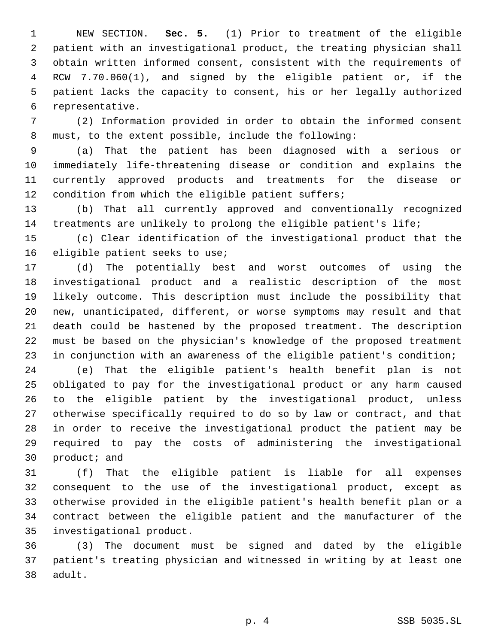NEW SECTION. **Sec. 5.** (1) Prior to treatment of the eligible patient with an investigational product, the treating physician shall obtain written informed consent, consistent with the requirements of RCW 7.70.060(1), and signed by the eligible patient or, if the patient lacks the capacity to consent, his or her legally authorized representative.

 (2) Information provided in order to obtain the informed consent must, to the extent possible, include the following:

 (a) That the patient has been diagnosed with a serious or immediately life-threatening disease or condition and explains the currently approved products and treatments for the disease or condition from which the eligible patient suffers;

 (b) That all currently approved and conventionally recognized treatments are unlikely to prolong the eligible patient's life;

 (c) Clear identification of the investigational product that the 16 eligible patient seeks to use;

 (d) The potentially best and worst outcomes of using the investigational product and a realistic description of the most likely outcome. This description must include the possibility that new, unanticipated, different, or worse symptoms may result and that death could be hastened by the proposed treatment. The description must be based on the physician's knowledge of the proposed treatment in conjunction with an awareness of the eligible patient's condition;

 (e) That the eligible patient's health benefit plan is not obligated to pay for the investigational product or any harm caused to the eligible patient by the investigational product, unless otherwise specifically required to do so by law or contract, and that in order to receive the investigational product the patient may be required to pay the costs of administering the investigational product; and

 (f) That the eligible patient is liable for all expenses consequent to the use of the investigational product, except as otherwise provided in the eligible patient's health benefit plan or a contract between the eligible patient and the manufacturer of the 35 investigational product.

 (3) The document must be signed and dated by the eligible patient's treating physician and witnessed in writing by at least one 38 adult.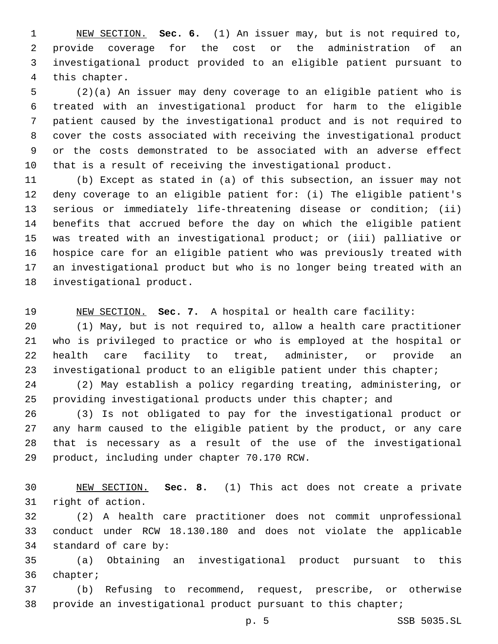NEW SECTION. **Sec. 6.** (1) An issuer may, but is not required to, provide coverage for the cost or the administration of an investigational product provided to an eligible patient pursuant to this chapter.

 (2)(a) An issuer may deny coverage to an eligible patient who is treated with an investigational product for harm to the eligible patient caused by the investigational product and is not required to cover the costs associated with receiving the investigational product or the costs demonstrated to be associated with an adverse effect that is a result of receiving the investigational product.

 (b) Except as stated in (a) of this subsection, an issuer may not deny coverage to an eligible patient for: (i) The eligible patient's serious or immediately life-threatening disease or condition; (ii) benefits that accrued before the day on which the eligible patient was treated with an investigational product; or (iii) palliative or hospice care for an eligible patient who was previously treated with an investigational product but who is no longer being treated with an 18 investigational product.

NEW SECTION. **Sec. 7.** A hospital or health care facility:

 (1) May, but is not required to, allow a health care practitioner who is privileged to practice or who is employed at the hospital or health care facility to treat, administer, or provide an investigational product to an eligible patient under this chapter;

 (2) May establish a policy regarding treating, administering, or providing investigational products under this chapter; and

 (3) Is not obligated to pay for the investigational product or any harm caused to the eligible patient by the product, or any care that is necessary as a result of the use of the investigational 29 product, including under chapter 70.170 RCW.

 NEW SECTION. **Sec. 8.** (1) This act does not create a private right of action.

 (2) A health care practitioner does not commit unprofessional conduct under RCW 18.130.180 and does not violate the applicable 34 standard of care by:

 (a) Obtaining an investigational product pursuant to this 36 chapter;

 (b) Refusing to recommend, request, prescribe, or otherwise provide an investigational product pursuant to this chapter;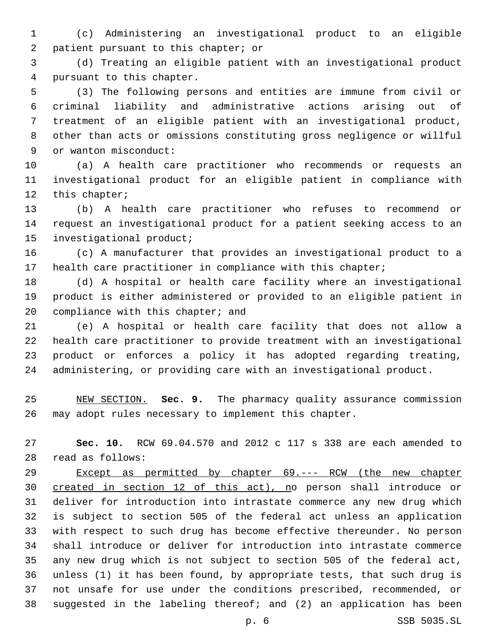(c) Administering an investigational product to an eligible 2 patient pursuant to this chapter; or

 (d) Treating an eligible patient with an investigational product 4 pursuant to this chapter.

 (3) The following persons and entities are immune from civil or criminal liability and administrative actions arising out of treatment of an eligible patient with an investigational product, other than acts or omissions constituting gross negligence or willful 9 or wanton misconduct:

 (a) A health care practitioner who recommends or requests an investigational product for an eligible patient in compliance with 12 this chapter;

 (b) A health care practitioner who refuses to recommend or request an investigational product for a patient seeking access to an 15 investigational product;

 (c) A manufacturer that provides an investigational product to a health care practitioner in compliance with this chapter;

 (d) A hospital or health care facility where an investigational product is either administered or provided to an eligible patient in 20 compliance with this chapter; and

 (e) A hospital or health care facility that does not allow a health care practitioner to provide treatment with an investigational product or enforces a policy it has adopted regarding treating, administering, or providing care with an investigational product.

 NEW SECTION. **Sec. 9.** The pharmacy quality assurance commission may adopt rules necessary to implement this chapter.

 **Sec. 10.** RCW 69.04.570 and 2012 c 117 s 338 are each amended to read as follows:28

 Except as permitted by chapter 69.--- RCW (the new chapter created in section 12 of this act), no person shall introduce or deliver for introduction into intrastate commerce any new drug which is subject to section 505 of the federal act unless an application with respect to such drug has become effective thereunder. No person shall introduce or deliver for introduction into intrastate commerce any new drug which is not subject to section 505 of the federal act, unless (1) it has been found, by appropriate tests, that such drug is not unsafe for use under the conditions prescribed, recommended, or suggested in the labeling thereof; and (2) an application has been

p. 6 SSB 5035.SL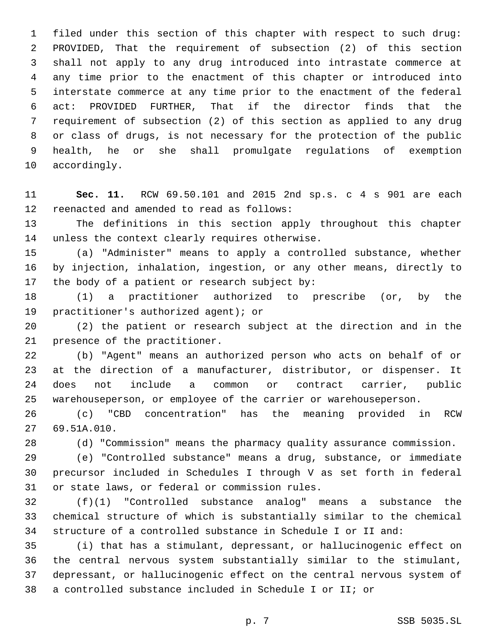filed under this section of this chapter with respect to such drug: PROVIDED, That the requirement of subsection (2) of this section shall not apply to any drug introduced into intrastate commerce at any time prior to the enactment of this chapter or introduced into interstate commerce at any time prior to the enactment of the federal act: PROVIDED FURTHER, That if the director finds that the requirement of subsection (2) of this section as applied to any drug or class of drugs, is not necessary for the protection of the public health, he or she shall promulgate regulations of exemption 10 accordingly.

 **Sec. 11.** RCW 69.50.101 and 2015 2nd sp.s. c 4 s 901 are each 12 reenacted and amended to read as follows:

 The definitions in this section apply throughout this chapter 14 unless the context clearly requires otherwise.

 (a) "Administer" means to apply a controlled substance, whether by injection, inhalation, ingestion, or any other means, directly to 17 the body of a patient or research subject by:

 (1) a practitioner authorized to prescribe (or, by the 19 practitioner's authorized agent); or

 (2) the patient or research subject at the direction and in the 21 presence of the practitioner.

 (b) "Agent" means an authorized person who acts on behalf of or at the direction of a manufacturer, distributor, or dispenser. It does not include a common or contract carrier, public warehouseperson, or employee of the carrier or warehouseperson.

 (c) "CBD concentration" has the meaning provided in RCW 69.51A.010.27

(d) "Commission" means the pharmacy quality assurance commission.

 (e) "Controlled substance" means a drug, substance, or immediate precursor included in Schedules I through V as set forth in federal 31 or state laws, or federal or commission rules.

 (f)(1) "Controlled substance analog" means a substance the chemical structure of which is substantially similar to the chemical structure of a controlled substance in Schedule I or II and:

 (i) that has a stimulant, depressant, or hallucinogenic effect on the central nervous system substantially similar to the stimulant, depressant, or hallucinogenic effect on the central nervous system of a controlled substance included in Schedule I or II; or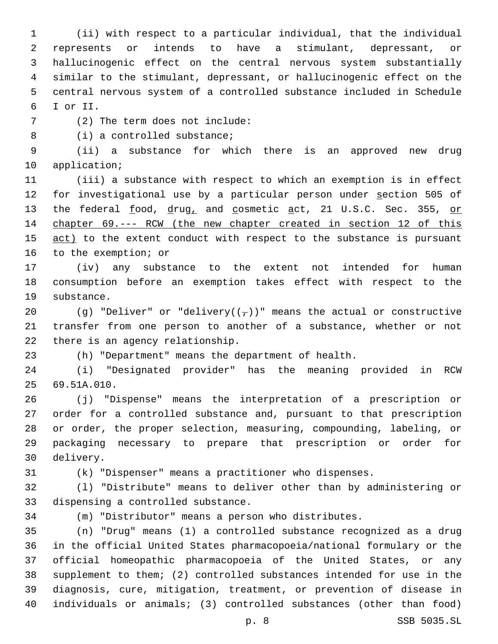(ii) with respect to a particular individual, that the individual represents or intends to have a stimulant, depressant, or hallucinogenic effect on the central nervous system substantially similar to the stimulant, depressant, or hallucinogenic effect on the central nervous system of a controlled substance included in Schedule I or II.6

(2) The term does not include:7

8 (i) a controlled substance;

 (ii) a substance for which there is an approved new drug 10 application;

 (iii) a substance with respect to which an exemption is in effect 12 for investigational use by a particular person under section 505 of 13 the federal food, drug, and cosmetic act, 21 U.S.C. Sec. 355, or chapter 69.--- RCW (the new chapter created in section 12 of this 15 act) to the extent conduct with respect to the substance is pursuant 16 to the exemption; or

 (iv) any substance to the extent not intended for human consumption before an exemption takes effect with respect to the 19 substance.

20 (g) "Deliver" or "delivery( $(\tau)$ )" means the actual or constructive transfer from one person to another of a substance, whether or not 22 there is an agency relationship.

(h) "Department" means the department of health.

 (i) "Designated provider" has the meaning provided in RCW 69.51A.010.25

 (j) "Dispense" means the interpretation of a prescription or order for a controlled substance and, pursuant to that prescription or order, the proper selection, measuring, compounding, labeling, or packaging necessary to prepare that prescription or order for delivery.30

(k) "Dispenser" means a practitioner who dispenses.

 (l) "Distribute" means to deliver other than by administering or 33 dispensing a controlled substance.

(m) "Distributor" means a person who distributes.

 (n) "Drug" means (1) a controlled substance recognized as a drug in the official United States pharmacopoeia/national formulary or the official homeopathic pharmacopoeia of the United States, or any supplement to them; (2) controlled substances intended for use in the diagnosis, cure, mitigation, treatment, or prevention of disease in individuals or animals; (3) controlled substances (other than food)

p. 8 SSB 5035.SL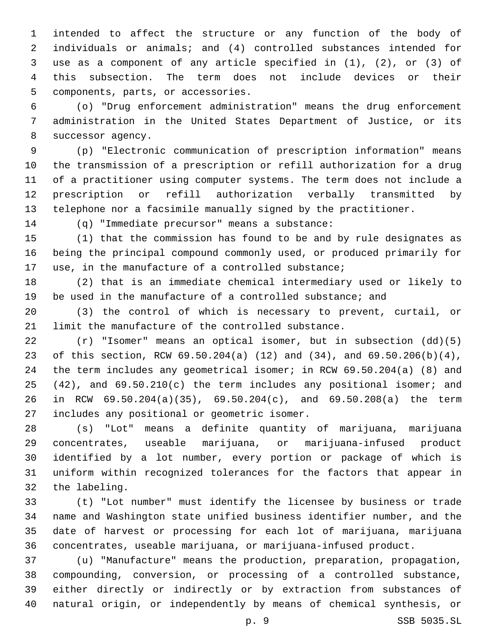intended to affect the structure or any function of the body of individuals or animals; and (4) controlled substances intended for use as a component of any article specified in (1), (2), or (3) of this subsection. The term does not include devices or their 5 components, parts, or accessories.

 (o) "Drug enforcement administration" means the drug enforcement administration in the United States Department of Justice, or its 8 successor agency.

 (p) "Electronic communication of prescription information" means the transmission of a prescription or refill authorization for a drug of a practitioner using computer systems. The term does not include a prescription or refill authorization verbally transmitted by telephone nor a facsimile manually signed by the practitioner.

14 (q) "Immediate precursor" means a substance:

 (1) that the commission has found to be and by rule designates as being the principal compound commonly used, or produced primarily for use, in the manufacture of a controlled substance;

 (2) that is an immediate chemical intermediary used or likely to be used in the manufacture of a controlled substance; and

 (3) the control of which is necessary to prevent, curtail, or limit the manufacture of the controlled substance.

 (r) "Isomer" means an optical isomer, but in subsection (dd)(5) of this section, RCW 69.50.204(a) (12) and (34), and 69.50.206(b)(4), the term includes any geometrical isomer; in RCW 69.50.204(a) (8) and (42), and 69.50.210(c) the term includes any positional isomer; and in RCW 69.50.204(a)(35), 69.50.204(c), and 69.50.208(a) the term 27 includes any positional or geometric isomer.

 (s) "Lot" means a definite quantity of marijuana, marijuana concentrates, useable marijuana, or marijuana-infused product identified by a lot number, every portion or package of which is uniform within recognized tolerances for the factors that appear in 32 the labeling.

 (t) "Lot number" must identify the licensee by business or trade name and Washington state unified business identifier number, and the date of harvest or processing for each lot of marijuana, marijuana concentrates, useable marijuana, or marijuana-infused product.

 (u) "Manufacture" means the production, preparation, propagation, compounding, conversion, or processing of a controlled substance, either directly or indirectly or by extraction from substances of natural origin, or independently by means of chemical synthesis, or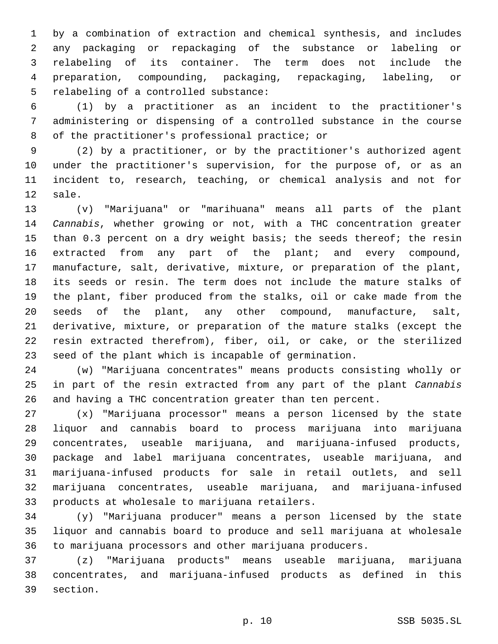by a combination of extraction and chemical synthesis, and includes any packaging or repackaging of the substance or labeling or relabeling of its container. The term does not include the preparation, compounding, packaging, repackaging, labeling, or 5 relabeling of a controlled substance:

 (1) by a practitioner as an incident to the practitioner's administering or dispensing of a controlled substance in the course 8 of the practitioner's professional practice; or

 (2) by a practitioner, or by the practitioner's authorized agent under the practitioner's supervision, for the purpose of, or as an incident to, research, teaching, or chemical analysis and not for 12 sale.

 (v) "Marijuana" or "marihuana" means all parts of the plant *Cannabis*, whether growing or not, with a THC concentration greater 15 than 0.3 percent on a dry weight basis; the seeds thereof; the resin extracted from any part of the plant; and every compound, manufacture, salt, derivative, mixture, or preparation of the plant, its seeds or resin. The term does not include the mature stalks of the plant, fiber produced from the stalks, oil or cake made from the seeds of the plant, any other compound, manufacture, salt, derivative, mixture, or preparation of the mature stalks (except the resin extracted therefrom), fiber, oil, or cake, or the sterilized seed of the plant which is incapable of germination.

 (w) "Marijuana concentrates" means products consisting wholly or in part of the resin extracted from any part of the plant *Cannabis* and having a THC concentration greater than ten percent.

 (x) "Marijuana processor" means a person licensed by the state liquor and cannabis board to process marijuana into marijuana concentrates, useable marijuana, and marijuana-infused products, package and label marijuana concentrates, useable marijuana, and marijuana-infused products for sale in retail outlets, and sell marijuana concentrates, useable marijuana, and marijuana-infused 33 products at wholesale to marijuana retailers.

 (y) "Marijuana producer" means a person licensed by the state liquor and cannabis board to produce and sell marijuana at wholesale to marijuana processors and other marijuana producers.

 (z) "Marijuana products" means useable marijuana, marijuana concentrates, and marijuana-infused products as defined in this 39 section.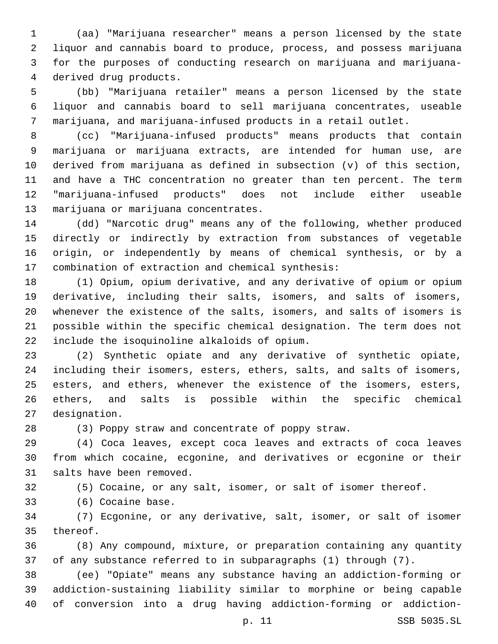(aa) "Marijuana researcher" means a person licensed by the state liquor and cannabis board to produce, process, and possess marijuana for the purposes of conducting research on marijuana and marijuana-4 derived drug products.

 (bb) "Marijuana retailer" means a person licensed by the state liquor and cannabis board to sell marijuana concentrates, useable marijuana, and marijuana-infused products in a retail outlet.

 (cc) "Marijuana-infused products" means products that contain marijuana or marijuana extracts, are intended for human use, are derived from marijuana as defined in subsection (v) of this section, and have a THC concentration no greater than ten percent. The term "marijuana-infused products" does not include either useable 13 marijuana or marijuana concentrates.

 (dd) "Narcotic drug" means any of the following, whether produced directly or indirectly by extraction from substances of vegetable origin, or independently by means of chemical synthesis, or by a 17 combination of extraction and chemical synthesis:

 (1) Opium, opium derivative, and any derivative of opium or opium derivative, including their salts, isomers, and salts of isomers, whenever the existence of the salts, isomers, and salts of isomers is possible within the specific chemical designation. The term does not include the isoquinoline alkaloids of opium.22

 (2) Synthetic opiate and any derivative of synthetic opiate, including their isomers, esters, ethers, salts, and salts of isomers, esters, and ethers, whenever the existence of the isomers, esters, ethers, and salts is possible within the specific chemical 27 designation.

(3) Poppy straw and concentrate of poppy straw.

 (4) Coca leaves, except coca leaves and extracts of coca leaves from which cocaine, ecgonine, and derivatives or ecgonine or their 31 salts have been removed.

(5) Cocaine, or any salt, isomer, or salt of isomer thereof.

33 (6) Cocaine base.

 (7) Ecgonine, or any derivative, salt, isomer, or salt of isomer 35 thereof.

 (8) Any compound, mixture, or preparation containing any quantity of any substance referred to in subparagraphs (1) through (7).

 (ee) "Opiate" means any substance having an addiction-forming or addiction-sustaining liability similar to morphine or being capable of conversion into a drug having addiction-forming or addiction-

p. 11 SSB 5035.SL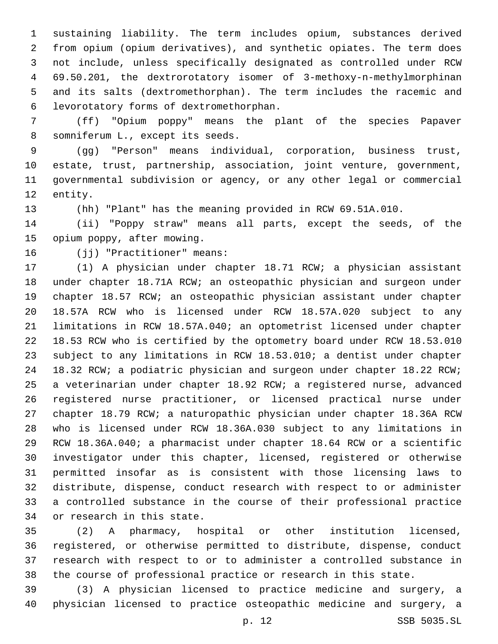sustaining liability. The term includes opium, substances derived from opium (opium derivatives), and synthetic opiates. The term does not include, unless specifically designated as controlled under RCW 69.50.201, the dextrorotatory isomer of 3-methoxy-n-methylmorphinan and its salts (dextromethorphan). The term includes the racemic and levorotatory forms of dextromethorphan.6

 (ff) "Opium poppy" means the plant of the species Papaver 8 somniferum L., except its seeds.

 (gg) "Person" means individual, corporation, business trust, estate, trust, partnership, association, joint venture, government, governmental subdivision or agency, or any other legal or commercial 12 entity.

(hh) "Plant" has the meaning provided in RCW 69.51A.010.

 (ii) "Poppy straw" means all parts, except the seeds, of the 15 opium poppy, after mowing.

16 (jj) "Practitioner" means:

 (1) A physician under chapter 18.71 RCW; a physician assistant under chapter 18.71A RCW; an osteopathic physician and surgeon under chapter 18.57 RCW; an osteopathic physician assistant under chapter 18.57A RCW who is licensed under RCW 18.57A.020 subject to any limitations in RCW 18.57A.040; an optometrist licensed under chapter 18.53 RCW who is certified by the optometry board under RCW 18.53.010 subject to any limitations in RCW 18.53.010; a dentist under chapter 18.32 RCW; a podiatric physician and surgeon under chapter 18.22 RCW; a veterinarian under chapter 18.92 RCW; a registered nurse, advanced registered nurse practitioner, or licensed practical nurse under chapter 18.79 RCW; a naturopathic physician under chapter 18.36A RCW who is licensed under RCW 18.36A.030 subject to any limitations in RCW 18.36A.040; a pharmacist under chapter 18.64 RCW or a scientific investigator under this chapter, licensed, registered or otherwise permitted insofar as is consistent with those licensing laws to distribute, dispense, conduct research with respect to or administer a controlled substance in the course of their professional practice 34 or research in this state.

 (2) A pharmacy, hospital or other institution licensed, registered, or otherwise permitted to distribute, dispense, conduct research with respect to or to administer a controlled substance in the course of professional practice or research in this state.

 (3) A physician licensed to practice medicine and surgery, a physician licensed to practice osteopathic medicine and surgery, a

p. 12 SSB 5035.SL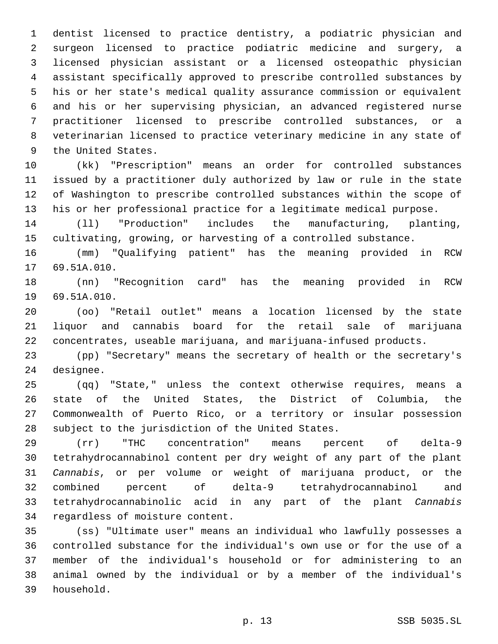dentist licensed to practice dentistry, a podiatric physician and surgeon licensed to practice podiatric medicine and surgery, a licensed physician assistant or a licensed osteopathic physician assistant specifically approved to prescribe controlled substances by his or her state's medical quality assurance commission or equivalent and his or her supervising physician, an advanced registered nurse practitioner licensed to prescribe controlled substances, or a veterinarian licensed to practice veterinary medicine in any state of 9 the United States.

 (kk) "Prescription" means an order for controlled substances issued by a practitioner duly authorized by law or rule in the state of Washington to prescribe controlled substances within the scope of his or her professional practice for a legitimate medical purpose.

 (ll) "Production" includes the manufacturing, planting, cultivating, growing, or harvesting of a controlled substance.

 (mm) "Qualifying patient" has the meaning provided in RCW 17 69.51A.010.

 (nn) "Recognition card" has the meaning provided in RCW 19 69.51A.010.

 (oo) "Retail outlet" means a location licensed by the state liquor and cannabis board for the retail sale of marijuana concentrates, useable marijuana, and marijuana-infused products.

 (pp) "Secretary" means the secretary of health or the secretary's 24 designee.

 (qq) "State," unless the context otherwise requires, means a state of the United States, the District of Columbia, the Commonwealth of Puerto Rico, or a territory or insular possession 28 subject to the jurisdiction of the United States.

 (rr) "THC concentration" means percent of delta-9 tetrahydrocannabinol content per dry weight of any part of the plant *Cannabis*, or per volume or weight of marijuana product, or the combined percent of delta-9 tetrahydrocannabinol and tetrahydrocannabinolic acid in any part of the plant *Cannabis* 34 regardless of moisture content.

 (ss) "Ultimate user" means an individual who lawfully possesses a controlled substance for the individual's own use or for the use of a member of the individual's household or for administering to an animal owned by the individual or by a member of the individual's 39 household.